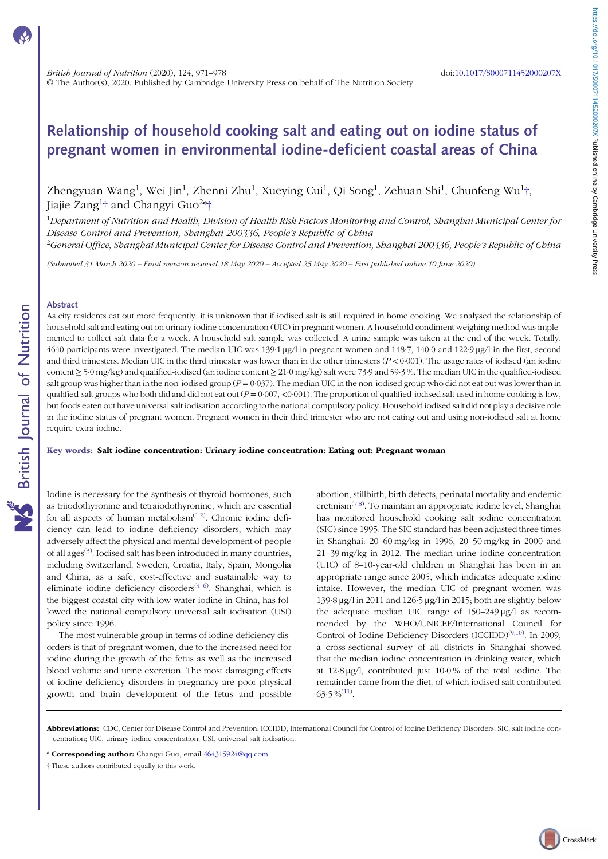# Relationship of household cooking salt and eating out on iodine status of pregnant women in environmental iodine-deficient coastal areas of China

Zhengyuan Wang<sup>1</sup>, Wei Jin<sup>1</sup>, Zhenni Zhu<sup>1</sup>, Xueying Cui<sup>1</sup>, Qi Song<sup>1</sup>, Zehuan Shi<sup>1</sup>, Chunfeng Wu<sup>1</sup>†, Jiajie Zang<sup>1</sup>† and Changyi Guo<sup>2</sup>\*†

<sup>1</sup>Department of Nutrition and Health, Division of Health Risk Factors Monitoring and Control, Shanghai Municipal Center for Disease Control and Prevention, Shanghai 200336, People's Republic of China

<sup>2</sup>General Office, Shanghai Municipal Center for Disease Control and Prevention, Shanghai 200336, People's Republic of China

(Submitted 31 March 2020 – Final revision received 18 May 2020 – Accepted 25 May 2020 – First published online 10 June 2020)

#### Abstract

As city residents eat out more frequently, it is unknown that if iodised salt is still required in home cooking. We analysed the relationship of household salt and eating out on urinary iodine concentration (UIC) in pregnant women. A household condiment weighing method was implemented to collect salt data for a week. A household salt sample was collected. A urine sample was taken at the end of the week. Totally, 4640 participants were investigated. The median UIC was 139·1 μg/l in pregnant women and 148·7, 140·0 and 122·9 μg/l in the first, second and third trimesters. Median UIC in the third trimester was lower than in the other trimesters  $(P < 0.001)$ . The usage rates of iodised (an iodine content ≥ 5·0 mg/kg) and qualified-iodised (an iodine content ≥ 21·0 mg/kg) salt were 73·9 and 59·3 %. The median UIC in the qualified-iodised salt group was higher than in the non-iodised group  $(P = 0.037)$ . The median UIC in the non-iodised group who did not eat out was lower than in qualified-salt groups who both did and did not eat out  $(P = 0.007, < 0.001)$ . The proportion of qualified-iodised salt used in home cooking is low, but foods eaten out have universal salt iodisation according to the national compulsory policy. Household iodised salt did not play a decisive role in the iodine status of pregnant women. Pregnant women in their third trimester who are not eating out and using non-iodised salt at home require extra iodine.

Key words: Salt iodine concentration: Urinary iodine concentration: Eating out: Pregnant woman

Iodine is necessary for the synthesis of thyroid hormones, such as triiodothyronine and tetraiodothyronine, which are essential for all aspects of human metabolism $(1,2)$  $(1,2)$  $(1,2)$ . Chronic iodine deficiency can lead to iodine deficiency disorders, which may adversely affect the physical and mental development of people of all ages<sup>([3\)](#page-6-0)</sup>. Iodised salt has been introduced in many countries, including Switzerland, Sweden, Croatia, Italy, Spain, Mongolia and China, as a safe, cost-effective and sustainable way to eliminate iodine deficiency disorders<sup>([4](#page-6-0)-[6](#page-6-0))</sup>. Shanghai, which is the biggest coastal city with low water iodine in China, has followed the national compulsory universal salt iodisation (USI) policy since 1996.

The most vulnerable group in terms of iodine deficiency disorders is that of pregnant women, due to the increased need for iodine during the growth of the fetus as well as the increased blood volume and urine excretion. The most damaging effects of iodine deficiency disorders in pregnancy are poor physical growth and brain development of the fetus and possible

abortion, stillbirth, birth defects, perinatal mortality and endemic cretinism<sup>([7,8\)](#page-6-0)</sup>. To maintain an appropriate iodine level, Shanghai has monitored household cooking salt iodine concentration (SIC) since 1995. The SIC standard has been adjusted three times in Shanghai: 20–60 mg/kg in 1996, 20–50 mg/kg in 2000 and 21–39 mg/kg in 2012. The median urine iodine concentration (UIC) of 8–10-year-old children in Shanghai has been in an appropriate range since 2005, which indicates adequate iodine intake. However, the median UIC of pregnant women was 139·8 μg/l in 2011 and 126·5 μg/l in 2015; both are slightly below the adequate median UIC range of 150–249 μg/l as recommended by the WHO/UNICEF/International Council for Control of Iodine Deficiency Disorders (ICCIDD)<sup>[\(9](#page-6-0),[10](#page-6-0))</sup>. In 2009, a cross-sectional survey of all districts in Shanghai showed that the median iodine concentration in drinking water, which at 12·8 μg/l, contributed just 10·0 % of the total iodine. The remainder came from the diet, of which iodised salt contributed  $63.5\,\%$ <sup>([11\)](#page-6-0)</sup>.

Abbreviations: CDC, Center for Disease Control and Prevention; ICCIDD, International Council for Control of Iodine Deficiency Disorders; SIC, salt iodine concentration; UIC, urinary iodine concentration; USI, universal salt iodisation.

\* Corresponding author: Changyi Guo, email [464315924@qq.com](mailto:464315924@qq.com)

<sup>†</sup> These authors contributed equally to this work.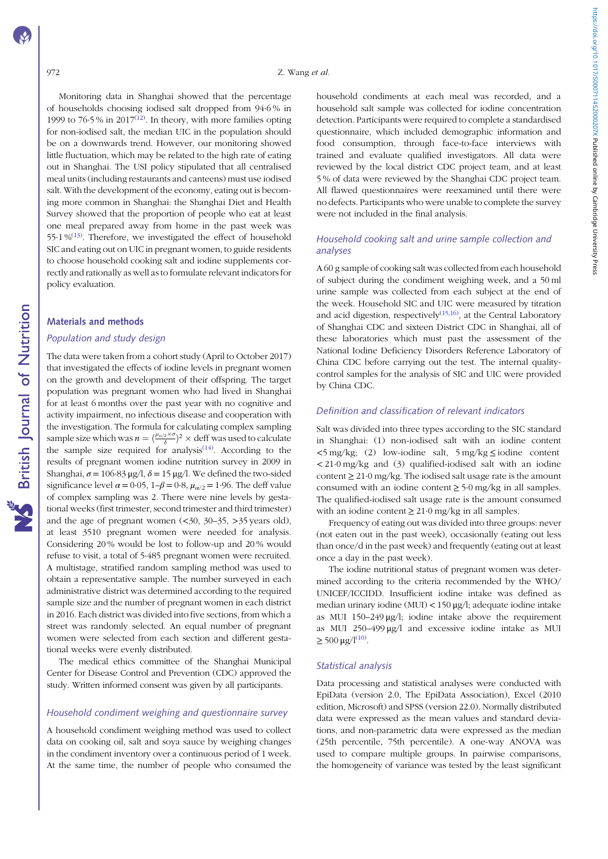972 Z. Wang et al.

Monitoring data in Shanghai showed that the percentage of households choosing iodised salt dropped from 94·6 % in 1999 to  $76.5\%$  in  $2017^{(12)}$  $2017^{(12)}$  $2017^{(12)}$ . In theory, with more families opting for non-iodised salt, the median UIC in the population should be on a downwards trend. However, our monitoring showed little fluctuation, which may be related to the high rate of eating out in Shanghai. The USI policy stipulated that all centralised meal units (including restaurants and canteens) must use iodised salt. With the development of the economy, eating out is becoming more common in Shanghai: the Shanghai Diet and Health Survey showed that the proportion of people who eat at least one meal prepared away from home in the past week was 55 $\cdot$ 1 %<sup>[\(13\)](#page-6-0)</sup>. Therefore, we investigated the effect of household SIC and eating out on UIC in pregnant women, to guide residents to choose household cooking salt and iodine supplements correctly and rationally as well as to formulate relevant indicators for policy evaluation.

## Materials and methods

# Population and study design

The data were taken from a cohort study (April to October 2017) that investigated the effects of iodine levels in pregnant women on the growth and development of their offspring. The target population was pregnant women who had lived in Shanghai for at least 6 months over the past year with no cognitive and activity impairment, no infectious disease and cooperation with the investigation. The formula for calculating complex sampling sample size which was  $n = (\frac{\mu_{\alpha/2} \times \sigma}{\delta})^2 \times \text{deff}$  was used to calculate the sample size required for analysis $(14)$ . According to the results of pregnant women iodine nutrition survey in 2009 in Shanghai,  $\sigma = 106.83 \,\mu\text{g}/\text{l}$ ,  $\delta = 15 \,\mu\text{g}/\text{l}$ . We defined the two-sided significance level  $\alpha = 0.05$ ,  $1-\beta = 0.8$ ,  $\mu_{\alpha/2} = 1.96$ . The deff value of complex sampling was 2. There were nine levels by gestational weeks (first trimester, second trimester and third trimester) and the age of pregnant women  $\left(\langle 30, 30, 30, 35 \rangle\right)$  years old), at least 3510 pregnant women were needed for analysis. Considering 20 % would be lost to follow-up and 20 % would refuse to visit, a total of 5·485 pregnant women were recruited. A multistage, stratified random sampling method was used to obtain a representative sample. The number surveyed in each administrative district was determined according to the required sample size and the number of pregnant women in each district in 2016. Each district was divided into five sections, from which a street was randomly selected. An equal number of pregnant women were selected from each section and different gestational weeks were evenly distributed.

The medical ethics committee of the Shanghai Municipal Center for Disease Control and Prevention (CDC) approved the study. Written informed consent was given by all participants.

#### Household condiment weighing and questionnaire survey

A household condiment weighing method was used to collect data on cooking oil, salt and soya sauce by weighing changes in the condiment inventory over a continuous period of 1 week. At the same time, the number of people who consumed the household condiments at each meal was recorded, and a household salt sample was collected for iodine concentration detection. Participants were required to complete a standardised questionnaire, which included demographic information and food consumption, through face-to-face interviews with trained and evaluate qualified investigators. All data were reviewed by the local district CDC project team, and at least 5 % of data were reviewed by the Shanghai CDC project team. All flawed questionnaires were reexamined until there were no defects. Participants who were unable to complete the survey were not included in the final analysis.

## Household cooking salt and urine sample collection and analyses

A 60 g sample of cooking salt was collected from each household of subject during the condiment weighing week, and a 50 ml urine sample was collected from each subject at the end of the week. Household SIC and UIC were measured by titration and acid digestion, respectively<sup>([15](#page-6-0),[16](#page-6-0))</sup>, at the Central Laboratory of Shanghai CDC and sixteen District CDC in Shanghai, all of these laboratories which must past the assessment of the National Iodine Deficiency Disorders Reference Laboratory of China CDC before carrying out the test. The internal qualitycontrol samples for the analysis of SIC and UIC were provided by China CDC.

#### Definition and classification of relevant indicators

Salt was divided into three types according to the SIC standard in Shanghai: (1) non-iodised salt with an iodine content <5 mg/kg; (2) low-iodine salt, 5 mg/kg ≤ iodine content < 21·0 mg/kg and (3) qualified-iodised salt with an iodine content  $\geq 21.0$  mg/kg. The iodised salt usage rate is the amount consumed with an iodine content  $\geq$  5·0 mg/kg in all samples. The qualified-iodised salt usage rate is the amount consumed with an iodine content  $\geq 21.0$  mg/kg in all samples.

Frequency of eating out was divided into three groups: never (not eaten out in the past week), occasionally (eating out less than once/d in the past week) and frequently (eating out at least once a day in the past week).

The iodine nutritional status of pregnant women was determined according to the criteria recommended by the WHO/ UNICEF/ICCIDD. Insufficient iodine intake was defined as median urinary iodine (MUI) < 150 μg/l; adequate iodine intake as MUI 150–249 μg/l; iodine intake above the requirement as MUI 250–499 μg/l and excessive iodine intake as MUI  $\geq$  500 μg/l<sup>[\(10\)](#page-6-0)</sup>.

#### Statistical analysis

Data processing and statistical analyses were conducted with EpiData (version 2.0, The EpiData Association), Excel (2010 edition, Microsoft) and SPSS (version 22.0). Normally distributed data were expressed as the mean values and standard deviations, and non-parametric data were expressed as the median (25th percentile, 75th percentile). A one-way ANOVA was used to compare multiple groups. In pairwise comparisons, the homogeneity of variance was tested by the least significant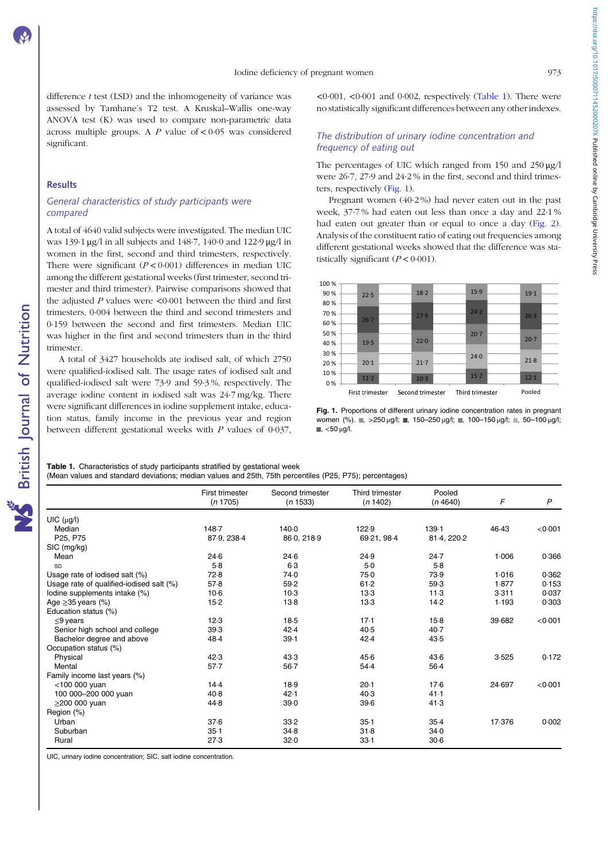https://doi.org/10.1017/5000711452000207X Published online by Cambridge University Press https://doi.org/10.1017/S000711452000207X Published online by Cambridge University Press

difference  $t$  test (LSD) and the inhomogeneity of variance was assessed by Tamhane's T2 test. A Kruskal–Wallis one-way ANOVA test (K) was used to compare non-parametric data across multiple groups. A P value of  $\lt 0.05$  was considered significant.

## **Results**

## General characteristics of study participants were compared

A total of 4640 valid subjects were investigated. The median UIC was 139·1 μg/l in all subjects and 148·7, 140·0 and 122·9 μg/l in women in the first, second and third trimesters, respectively. There were significant  $(P < 0.001)$  differences in median UIC among the different gestational weeks (first trimester, second trimester and third trimester). Pairwise comparisons showed that the adjusted  $P$  values were <0.001 between the third and first trimesters, 0·004 between the third and second trimesters and 0·159 between the second and first trimesters. Median UIC was higher in the first and second trimesters than in the third trimester.

A total of 3427 households ate iodised salt, of which 2750 were qualified-iodised salt. The usage rates of iodised salt and qualified-iodised salt were 73·9 and 59·3 %, respectively. The average iodine content in iodised salt was 24·7 mg/kg. There were significant differences in iodine supplement intake, education status, family income in the previous year and region between different gestational weeks with P values of 0·037,

 $0.001$ ,  $0.001$  and  $0.002$ , respectively (Table 1). There were no statistically significant differences between any other indexes.

## The distribution of urinary iodine concentration and frequency of eating out

The percentages of UIC which ranged from 150 and 250 μg/l were 26·7, 27·9 and 24·2 % in the first, second and third trimesters, respectively (Fig. 1).

Pregnant women (40·2 %) had never eaten out in the past week, 37·7 % had eaten out less than once a day and 22·1 % had eaten out greater than or equal to once a day ([Fig. 2](#page-3-0)). Analysis of the constituent ratio of eating out frequencies among different gestational weeks showed that the difference was statistically significant  $(P < 0.001)$ .



Fig. 1. Proportions of different urinary iodine concentration rates in pregnant women (%).  $\blacksquare$ ,  $>250 \mu g/l$ ;  $\blacksquare$ , 150–250  $\mu g/l$ ;  $\blacksquare$ , 100–150  $\mu g/l$ ;  $\blacksquare$ , 50–100  $\mu g/l$ ;  $\blacksquare$ , <50 μg/l.

Table 1. Characteristics of study participants stratified by gestational week (Mean values and standard deviations; median values and 25th, 75th percentiles (P25, P75); percentages)

|                                          | First trimester<br>(n 1705) | Second trimester<br>(n 1533) | Third trimester<br>(n 1402) | Pooled<br>(n4640) | F      | P       |
|------------------------------------------|-----------------------------|------------------------------|-----------------------------|-------------------|--------|---------|
| $UIC$ ( $\mu$ g/l)                       |                             |                              |                             |                   |        |         |
| Median                                   | 148.7                       | 140.0                        | 122.9                       | $139 - 1$         | 46.43  | < 0.001 |
| P25, P75                                 | 87.9, 238.4                 | 86-0, 218-9                  | 69-21, 98-4                 | 81-4, 220-2       |        |         |
| SIC (mg/kg)                              |                             |                              |                             |                   |        |         |
| Mean                                     | 24.6                        | $24-6$                       | 24.9                        | 24.7              | 1.006  | 0.366   |
| SD                                       | $5-8$                       | $6-3$                        | $5-0$                       | $5-8$             |        |         |
| Usage rate of iodised salt (%)           | 72.8                        | 74.0                         | 75.0                        | 73.9              | 1.016  | 0.362   |
| Usage rate of qualified-iodised salt (%) | 57.8                        | 59.2                         | 61.2                        | 59.3              | 1.877  | 0.153   |
| lodine supplements intake (%)            | $10-6$                      | $10-3$                       | 13.3                        | 11.3              | 3.311  | 0.037   |
| Age $\geq$ 35 years (%)                  | $15-2$                      | $13-8$                       | $13-3$                      | 14.2              | 1.193  | 0.303   |
| Education status (%)                     |                             |                              |                             |                   |        |         |
| $\leq$ 9 years                           | 12.3                        | $18-5$                       | 17.1                        | $15-8$            | 39.682 | < 0.001 |
| Senior high school and college           | 39.3                        | 42.4                         | 40.5                        | $40-7$            |        |         |
| Bachelor degree and above                | 48.4                        | 39.1                         | 42.4                        | 43.5              |        |         |
| Occupation status (%)                    |                             |                              |                             |                   |        |         |
| Physical                                 | 42.3                        | 43.3                         | 45.6                        | 43.6              | 3.525  | 0.172   |
| Mental                                   | $57 - 7$                    | $56 - 7$                     | 54.4                        | $56-4$            |        |         |
| Family income last years (%)             |                             |                              |                             |                   |        |         |
| $<$ 100 000 yuan                         | 14.4                        | 18.9                         | 20.1                        | 17.6              | 24.697 | < 0.001 |
| 100 000-200 000 yuan                     | 40.8                        | 42.1                         | 40.3                        | 41.1              |        |         |
| $\geq$ 200 000 yuan                      | 44.8                        | 39.0                         | 39.6                        | 41.3              |        |         |
| Region (%)                               |                             |                              |                             |                   |        |         |
| Urban                                    | 37.6                        | 33.2                         | $35-1$                      | $35-4$            | 17.376 | 0.002   |
| Suburban                                 | $35 - 1$                    | 34.8                         | 31.8                        | 34.0              |        |         |
| Rural                                    | 27.3                        | 32.0                         | 33.1                        | $30-6$            |        |         |
|                                          |                             |                              |                             |                   |        |         |

UIC, urinary iodine concentration; SIC, salt iodine concentration.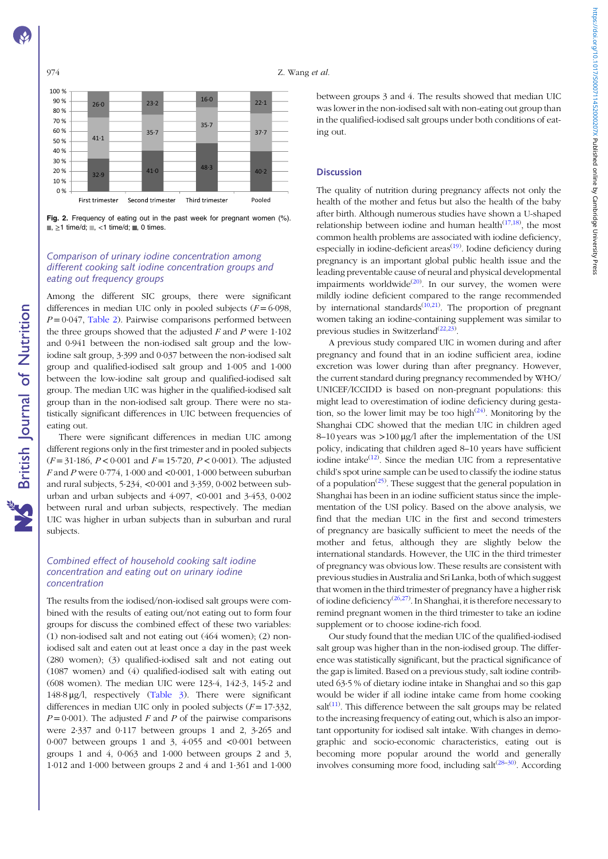### <span id="page-3-0"></span>974 Z. Wang et al.



Fig. 2. Frequency of eating out in the past week for pregnant women (%).  $\blacksquare$ ,  $\geq$ 1 time/d;  $\blacksquare$ , <1 time/d;  $\blacksquare$ , 0 times.

# Comparison of urinary iodine concentration among different cooking salt iodine concentration groups and eating out frequency groups

Among the different SIC groups, there were significant differences in median UIC only in pooled subjects  $(F = 6.098$ ,  $P = 0.047$ , [Table 2\)](#page-4-0). Pairwise comparisons performed between the three groups showed that the adjusted  $F$  and  $P$  were 1.102 and 0·941 between the non-iodised salt group and the lowiodine salt group, 3·399 and 0·037 between the non-iodised salt group and qualified-iodised salt group and 1·005 and 1·000 between the low-iodine salt group and qualified-iodised salt group. The median UIC was higher in the qualified-iodised salt group than in the non-iodised salt group. There were no statistically significant differences in UIC between frequencies of eating out.

There were significant differences in median UIC among different regions only in the first trimester and in pooled subjects  $(F = 31.186, P < 0.001$  and  $F = 15.720, P < 0.001$ ). The adjusted F and P were  $0.774$ ,  $1.000$  and  $0.001$ ,  $1.000$  between suburban and rural subjects, 5·234, <0·001 and 3·359, 0·002 between suburban and urban subjects and 4·097, <0·001 and 3·453, 0·002 between rural and urban subjects, respectively. The median UIC was higher in urban subjects than in suburban and rural subjects.

## Combined effect of household cooking salt iodine concentration and eating out on urinary iodine concentration

The results from the iodised/non-iodised salt groups were combined with the results of eating out/not eating out to form four groups for discuss the combined effect of these two variables: (1) non-iodised salt and not eating out (464 women); (2) noniodised salt and eaten out at least once a day in the past week (280 women); (3) qualified-iodised salt and not eating out (1087 women) and (4) qualified-iodised salt with eating out (608 women). The median UIC were 123·4, 142·3, 145·2 and 148·8 μg/l, respectively [\(Table 3\)](#page-5-0). There were significant differences in median UIC only in pooled subjects  $(F = 17.332)$ ,  $P = 0.001$ ). The adjusted F and P of the pairwise comparisons were 2·337 and 0·117 between groups 1 and 2, 3·265 and 0·007 between groups 1 and 3, 4·055 and <0·001 between groups 1 and 4, 0·063 and 1·000 between groups 2 and 3, 1·012 and 1·000 between groups 2 and 4 and 1·361 and 1·000 between groups 3 and 4. The results showed that median UIC was lower in the non-iodised salt with non-eating out group than in the qualified-iodised salt groups under both conditions of eating out.

## **Discussion**

The quality of nutrition during pregnancy affects not only the health of the mother and fetus but also the health of the baby after birth. Although numerous studies have shown a U-shaped relationship between iodine and human health $(17,18)$  $(17,18)$ , the most common health problems are associated with iodine deficiency, especially in iodine-deficient areas<sup>[\(19\)](#page-6-0)</sup>. Iodine deficiency during pregnancy is an important global public health issue and the leading preventable cause of neural and physical developmental impairments worldwide<sup>([20\)](#page-6-0)</sup>. In our survey, the women were mildly iodine deficient compared to the range recommended by international standards $(10,21)$  $(10,21)$  $(10,21)$  $(10,21)$  $(10,21)$ . The proportion of pregnant women taking an iodine-containing supplement was similar to previous studies in Switzerland<sup>([22,23\)](#page-6-0)</sup>.

A previous study compared UIC in women during and after pregnancy and found that in an iodine sufficient area, iodine excretion was lower during than after pregnancy. However, the current standard during pregnancy recommended by WHO/ UNICEF/ICCIDD is based on non-pregnant populations: this might lead to overestimation of iodine deficiency during gestation, so the lower limit may be too high<sup> $(24)$  $(24)$  $(24)$ </sup>. Monitoring by the Shanghai CDC showed that the median UIC in children aged 8–10 years was >100 μg/l after the implementation of the USI policy, indicating that children aged 8–10 years have sufficient iodine intake $(12)$  $(12)$  $(12)$ . Since the median UIC from a representative child's spot urine sample can be used to classify the iodine status of a population<sup> $(25)$  $(25)$  $(25)$ </sup>. These suggest that the general population in Shanghai has been in an iodine sufficient status since the implementation of the USI policy. Based on the above analysis, we find that the median UIC in the first and second trimesters of pregnancy are basically sufficient to meet the needs of the mother and fetus, although they are slightly below the international standards. However, the UIC in the third trimester of pregnancy was obvious low. These results are consistent with previous studies in Australia and Sri Lanka, both of which suggest that women in the third trimester of pregnancy have a higher risk of iodine deficiency<sup>([26,27\)](#page-6-0)</sup>. In Shanghai, it is therefore necessary to remind pregnant women in the third trimester to take an iodine supplement or to choose iodine-rich food.

Our study found that the median UIC of the qualified-iodised salt group was higher than in the non-iodised group. The difference was statistically significant, but the practical significance of the gap is limited. Based on a previous study, salt iodine contributed 63·5 % of dietary iodine intake in Shanghai and so this gap would be wider if all iodine intake came from home cooking salt $(11)$  $(11)$  $(11)$ . This difference between the salt groups may be related to the increasing frequency of eating out, which is also an important opportunity for iodised salt intake. With changes in demographic and socio-economic characteristics, eating out is becoming more popular around the world and generally involves consuming more food, including salt<sup>([28](#page-6-0)-[30](#page-6-0))</sup>. According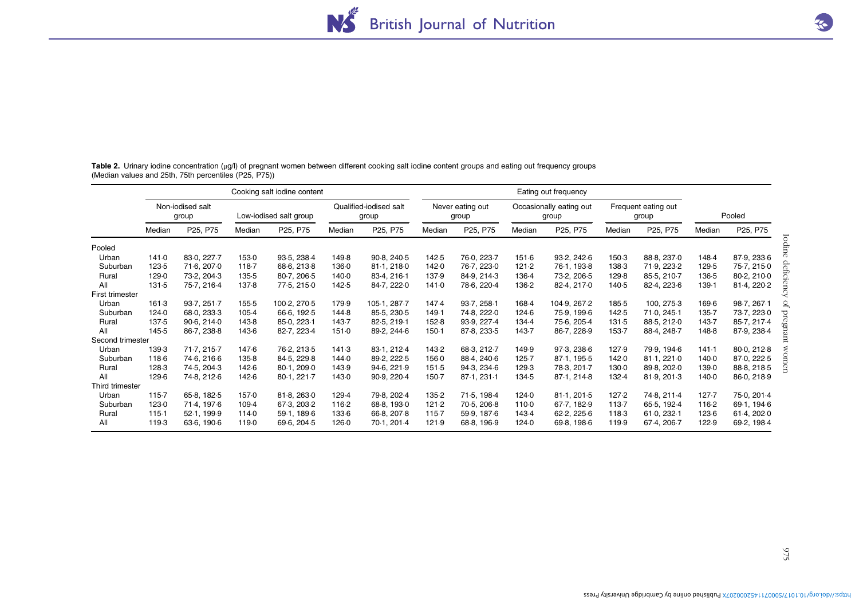<span id="page-4-0"></span>Table 2. Urinary iodine concentration (μg/l) of pregnant women between different cooking salt iodine content groups and eating out frequency groups (Median values and 25th, 75th percentiles (P25, P75))

| Median<br>Pooled<br>141.0<br>Urban<br>Suburban<br>123-5<br>129.0<br>Rural<br>All<br>131.5<br>First trimester | Non-iodised salt<br>group<br>P25, P75<br>83-0, 227-7<br>71.6, 207.0<br>73-2, 204-3<br>75-7, 216-4 | Median<br>1530<br>118-7<br>135-5 | Low-iodised salt group<br>P <sub>25</sub> , P <sub>75</sub><br>93-5, 238-4<br>68-6, 213-8<br>80-7, 206-5 | Median<br>1498<br>136.0 | Qualified-iodised salt<br>group<br>P25, P75<br>90.8, 240.5<br>81-1, 218-0 | Median<br>142.5 | Never eating out<br>group<br>P25, P75<br>76.0, 223.7 | Median | Occasionally eating out<br>group<br>P <sub>25</sub> , P <sub>75</sub> | Median | Frequent eating out<br>group<br>P25, P75 | Median    | Pooled<br>P25, P75 |
|--------------------------------------------------------------------------------------------------------------|---------------------------------------------------------------------------------------------------|----------------------------------|----------------------------------------------------------------------------------------------------------|-------------------------|---------------------------------------------------------------------------|-----------------|------------------------------------------------------|--------|-----------------------------------------------------------------------|--------|------------------------------------------|-----------|--------------------|
|                                                                                                              |                                                                                                   |                                  |                                                                                                          |                         |                                                                           |                 |                                                      |        |                                                                       |        |                                          |           |                    |
|                                                                                                              |                                                                                                   |                                  |                                                                                                          |                         |                                                                           |                 |                                                      |        |                                                                       |        |                                          |           |                    |
|                                                                                                              |                                                                                                   |                                  |                                                                                                          |                         |                                                                           |                 |                                                      |        |                                                                       |        |                                          |           |                    |
|                                                                                                              |                                                                                                   |                                  |                                                                                                          |                         |                                                                           |                 |                                                      | 151.6  | 93-2, 242-6                                                           | 150-3  | 88-8, 237-0                              | 148.4     | 87-9, 233-6        |
|                                                                                                              |                                                                                                   |                                  |                                                                                                          |                         |                                                                           | 142.0           | 76-7, 223-0                                          | 121.2  | 76-1, 193-8                                                           | 138.3  | 71.9, 223.2                              | 129.5     | 75.7, 215.0        |
|                                                                                                              |                                                                                                   |                                  |                                                                                                          | 140.0                   | 83-4, 216-1                                                               | 137.9           | 84-9, 214-3                                          | 136.4  | 73-2, 206-5                                                           | 129.8  | 85-5, 210-7                              | 136-5     | 80-2, 210-0        |
|                                                                                                              |                                                                                                   | 137.8                            | 77-5, 215-0                                                                                              | 142.5                   | 84-7, 222-0                                                               | 141.0           | 78.6, 220.4                                          | 136-2  | 82-4, 217-0                                                           | 140.5  | 82-4, 223-6                              | 139.1     | 81-4, 220-2        |
|                                                                                                              |                                                                                                   |                                  |                                                                                                          |                         |                                                                           |                 |                                                      |        |                                                                       |        |                                          |           |                    |
| Urban<br>161.3                                                                                               | 93-7, 251-7                                                                                       | 155-5                            | 100-2, 270-5                                                                                             | 179.9                   | 105-1, 287-7                                                              | 147.4           | 93-7, 258-1                                          | 168-4  | 104-9, 267-2                                                          | 185-5  | 100, 275.3                               | 169.6     | 98.7, 267.1        |
| Suburban<br>124.0                                                                                            | 68.0, 233.3                                                                                       | $105-4$                          | 66.6, 192.5                                                                                              | 144.8                   | 85-5, 230-5                                                               | 149.1           | 74.8, 222.0                                          | 124.6  | 75.9, 199.6                                                           | 142.5  | 71.0, 245.1                              | 135.7     | 73-7, 223-0        |
| 137.5<br>Rural                                                                                               | 90.6, 214.0                                                                                       | 143-8                            | 85.0, 223.1                                                                                              | 143.7                   | 82-5, 219-1                                                               | 152.8           | 93-9, 227-4                                          | 134.4  | 75.6, 205.4                                                           | 131.5  | 88-5, 212-0                              | 143.7     | 85-7, 217-4        |
| All<br>145.5                                                                                                 | 86-7, 238-8                                                                                       | 143.6                            | 82-7, 223-4                                                                                              | 151.0                   | 89-2, 244-6                                                               | $150-1$         | 87-8, 233-5                                          | 143.7  | 86-7, 228-9                                                           | 153.7  | 88-4, 248-7                              | 148-8     | 87-9, 238-4        |
| Second trimester                                                                                             |                                                                                                   |                                  |                                                                                                          |                         |                                                                           |                 |                                                      |        |                                                                       |        |                                          |           |                    |
| Urban<br>139.3                                                                                               | 71.7, 215.7                                                                                       | 147.6                            | 76-2, 213-5                                                                                              | 141.3                   | 83-1, 212-4                                                               | 143-2           | 68-3.212-7                                           | 149.9  | 97-3, 238-6                                                           | 127.9  | 79.9.194.6                               | 141.1     | 80-0, 212-8        |
| 118-6<br>Suburban                                                                                            | 74-6, 216-6                                                                                       | 135-8                            | 84-5, 229-8                                                                                              | 144.0                   | 89-2, 222-5                                                               | 156.0           | 88-4, 240-6                                          | 125.7  | 87-1, 195-5                                                           | 142.0  | 81-1, 221-0                              | 140.0     | 87.0, 222.5        |
| 128-3<br>Rural                                                                                               | 74-5, 204-3                                                                                       | 142.6                            | 80.1, 209.0                                                                                              | 143.9                   | 94-6, 221-9                                                               | 151.5           | 94-3, 234-6                                          | 129.3  | 78-3, 201-7                                                           | 130.0  | 89-8, 202-0                              | 139.0     | 88-8, 218-5        |
| All<br>129.6                                                                                                 | 74-8, 212-6                                                                                       | 142.6                            | 80-1, 221-7                                                                                              | 143.0                   | 90.9, 220.4                                                               | $150-7$         | 87-1, 231-1                                          | 134.5  | 87-1, 214-8                                                           | 132.4  | 81-9, 201-3                              | 140.0     | 86-0, 218-9        |
| Third trimester                                                                                              |                                                                                                   |                                  |                                                                                                          |                         |                                                                           |                 |                                                      |        |                                                                       |        |                                          |           |                    |
| Urban<br>115.7                                                                                               | 65-8, 182-5                                                                                       | 157.0                            | 81-8, 263-0                                                                                              | 129.4                   | 79.8, 202.4                                                               | 135-2           | 71-5, 198-4                                          | 124.0  | 81-1, 201-5                                                           | 127.2  | 74-8, 211-4                              | $127 - 7$ | 75.0, 201.4        |
| Suburban<br>123.0                                                                                            | 71-4, 197-6                                                                                       | 109.4                            | 67-3, 203-2                                                                                              | 116-2                   | 68-8, 193-0                                                               | 121.2           | 70-5, 206-8                                          | 110-0  | 67-7, 182-9                                                           | 113-7  | 65-5, 192-4                              | 116-2     | 69-1, 194-6        |
| 115.1<br>Rural                                                                                               | 52-1, 199-9                                                                                       | 114.0                            | 59-1, 189-6                                                                                              | 133.6                   | 66-8, 207-8                                                               | 115-7           | 59.9, 187.6                                          | 143.4  | 62-2, 225-6                                                           | 118-3  | 61.0, 232.1                              | 123.6     | 61-4, 202-0        |
|                                                                                                              |                                                                                                   |                                  |                                                                                                          |                         |                                                                           |                 |                                                      |        |                                                                       |        |                                          |           |                    |
| 1193<br>All                                                                                                  | 63-6, 190-6                                                                                       | 119.0                            | 69.6, 204.5                                                                                              | 126.0                   | 70-1, 201-4                                                               | 121.9           | 68-8, 196-9                                          | 124.0  | 69-8, 198-6                                                           | 119.9  | 67-4, 206-7                              | 122.9     | 69-2, 198-4        |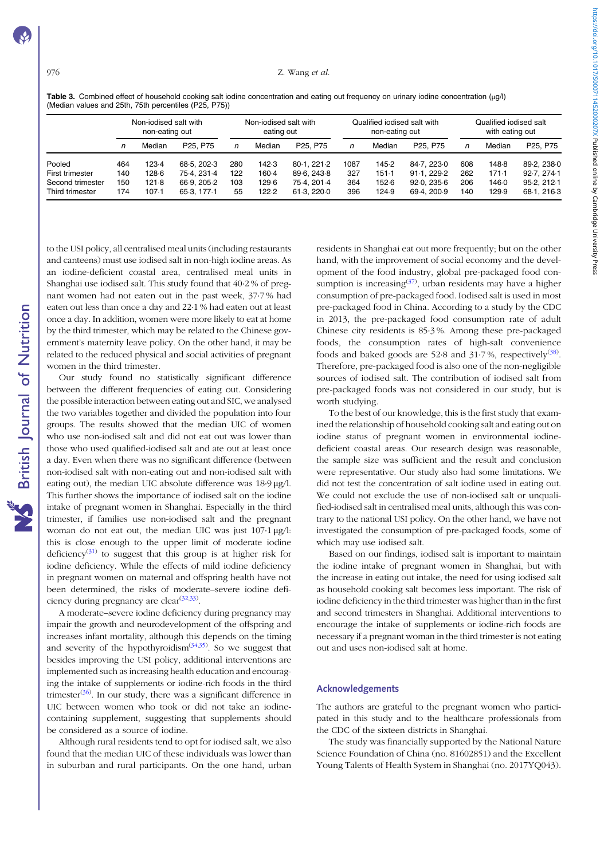#### <span id="page-5-0"></span>976 **Z.** Wang et al.

Table 3. Combined effect of household cooking salt iodine concentration and eating out frequency on urinary iodine concentration (μg/l) (Median values and 25th, 75th percentiles (P25, P75))

|                  | Non-jodised salt with<br>non-eating out |        | Non-jodised salt with<br>eating out |     |        | Qualified iodised salt with<br>non-eating out |      |        | Qualified iodised salt<br>with eating out |     |        |                                   |
|------------------|-----------------------------------------|--------|-------------------------------------|-----|--------|-----------------------------------------------|------|--------|-------------------------------------------|-----|--------|-----------------------------------|
|                  | n                                       | Median | P <sub>25</sub> , P <sub>75</sub>   | n   | Median | P <sub>25</sub> , P <sub>75</sub>             | n    | Median | P <sub>25</sub> , P <sub>75</sub>         |     | Median | P <sub>25</sub> . P <sub>75</sub> |
| Pooled           | 464                                     | 123.4  | 68.5, 202.3                         | 280 | 142.3  | 80-1, 221-2                                   | 1087 | 145.2  | 84.7.223.0                                | 608 | 148.8  | 89-2, 238-0                       |
| First trimester  | 140                                     | 128.6  | 75.4.231.4                          | 122 | 160.4  | 89.6.243.8                                    | 327  | 151.1  | 91.1.229.2                                | 262 | 171.1  | 92.7.274.1                        |
| Second trimester | 150                                     | 121.8  | 66.9.205.2                          | 103 | 129.6  | 75.4.201.4                                    | 364  | 152.6  | 92.0.235.6                                | 206 | 146.0  | 95.2.212.1                        |
| Third trimester  | 174                                     | 107.1  | 65-3, 177-1                         | 55  | 122.2  | 61.3.220.0                                    | 396  | 124.9  | 69.4.200.9                                | 140 | 129.9  | 68-1, 216-3                       |

to the USI policy, all centralised meal units (including restaurants and canteens) must use iodised salt in non-high iodine areas. As an iodine-deficient coastal area, centralised meal units in Shanghai use iodised salt. This study found that 40·2 % of pregnant women had not eaten out in the past week, 37·7 % had eaten out less than once a day and 22·1 % had eaten out at least once a day. In addition, women were more likely to eat at home by the third trimester, which may be related to the Chinese government's maternity leave policy. On the other hand, it may be related to the reduced physical and social activities of pregnant women in the third trimester.

Our study found no statistically significant difference between the different frequencies of eating out. Considering the possible interaction between eating out and SIC, we analysed the two variables together and divided the population into four groups. The results showed that the median UIC of women who use non-iodised salt and did not eat out was lower than those who used qualified-iodised salt and ate out at least once a day. Even when there was no significant difference (between non-iodised salt with non-eating out and non-iodised salt with eating out), the median UIC absolute difference was 18·9 μg/l. This further shows the importance of iodised salt on the iodine intake of pregnant women in Shanghai. Especially in the third trimester, if families use non-iodised salt and the pregnant woman do not eat out, the median UIC was just 107·1 μg/l: this is close enough to the upper limit of moderate iodine deficiency<sup>([31](#page-6-0))</sup> to suggest that this group is at higher risk for iodine deficiency. While the effects of mild iodine deficiency in pregnant women on maternal and offspring health have not been determined, the risks of moderate–severe iodine defi-ciency during pregnancy are clear<sup>[\(32](#page-6-0),[33](#page-6-0))</sup>.

A moderate–severe iodine deficiency during pregnancy may impair the growth and neurodevelopment of the offspring and increases infant mortality, although this depends on the timing and severity of the hypothyroidism $(34,35)$  $(34,35)$  $(34,35)$ . So we suggest that besides improving the USI policy, additional interventions are implemented such as increasing health education and encouraging the intake of supplements or iodine-rich foods in the third trimester $(36)$  $(36)$  $(36)$ . In our study, there was a significant difference in UIC between women who took or did not take an iodinecontaining supplement, suggesting that supplements should be considered as a source of iodine.

Although rural residents tend to opt for iodised salt, we also found that the median UIC of these individuals was lower than in suburban and rural participants. On the one hand, urban residents in Shanghai eat out more frequently; but on the other hand, with the improvement of social economy and the development of the food industry, global pre-packaged food consumption is increasing $(37)$  $(37)$  $(37)$ , urban residents may have a higher consumption of pre-packaged food. Iodised salt is used in most pre-packaged food in China. According to a study by the CDC in 2013, the pre-packaged food consumption rate of adult Chinese city residents is 85·3 %. Among these pre-packaged foods, the consumption rates of high-salt convenience foods and baked goods are 52.8 and 31.7%, respectively<sup>([38\)](#page-7-0)</sup>. Therefore, pre-packaged food is also one of the non-negligible sources of iodised salt. The contribution of iodised salt from pre-packaged foods was not considered in our study, but is worth studying.

To the best of our knowledge, this is the first study that examined the relationship of household cooking salt and eating out on iodine status of pregnant women in environmental iodinedeficient coastal areas. Our research design was reasonable, the sample size was sufficient and the result and conclusion were representative. Our study also had some limitations. We did not test the concentration of salt iodine used in eating out. We could not exclude the use of non-iodised salt or unqualified-iodised salt in centralised meal units, although this was contrary to the national USI policy. On the other hand, we have not investigated the consumption of pre-packaged foods, some of which may use iodised salt.

Based on our findings, iodised salt is important to maintain the iodine intake of pregnant women in Shanghai, but with the increase in eating out intake, the need for using iodised salt as household cooking salt becomes less important. The risk of iodine deficiency in the third trimester was higher than in the first and second trimesters in Shanghai. Additional interventions to encourage the intake of supplements or iodine-rich foods are necessary if a pregnant woman in the third trimester is not eating out and uses non-iodised salt at home.

#### Acknowledgements

The authors are grateful to the pregnant women who participated in this study and to the healthcare professionals from the CDC of the sixteen districts in Shanghai.

The study was financially supported by the National Nature Science Foundation of China (no. 81602851) and the Excellent Young Talents of Health System in Shanghai (no. 2017YQ043).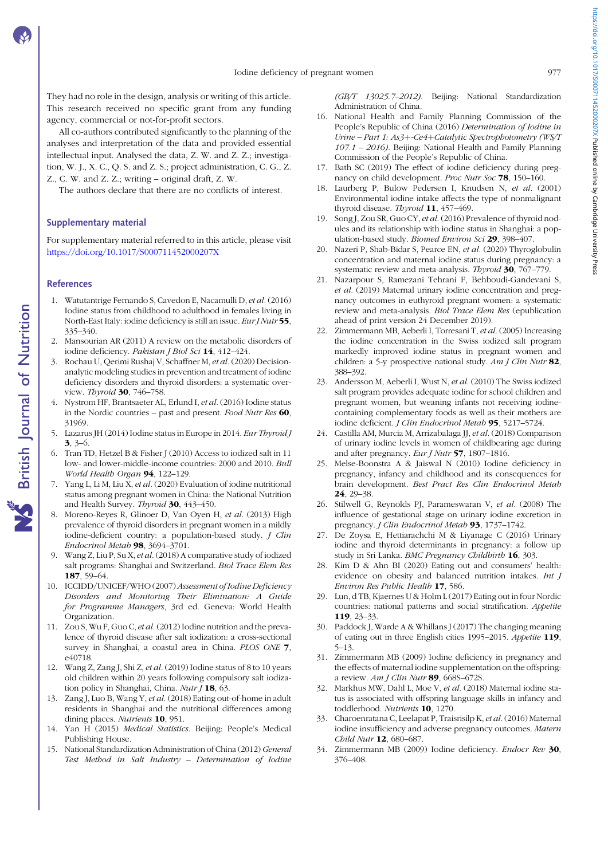<span id="page-6-0"></span>They had no role in the design, analysis or writing of this article. This research received no specific grant from any funding agency, commercial or not-for-profit sectors.

All co-authors contributed significantly to the planning of the analyses and interpretation of the data and provided essential intellectual input. Analysed the data, Z. W. and Z. Z.; investigation, W. J., X. C., Q. S. and Z. S.; project administration, C. G., Z. Z., C. W. and Z. Z.; writing – original draft, Z. W.

The authors declare that there are no conflicts of interest.

#### Supplementary material

For supplementary material referred to in this article, please visit <https://doi.org/10.1017/S000711452000207X>

# References

- 1. Watutantrige Fernando S, Cavedon E, Nacamulli D, et al. (2016) Iodine status from childhood to adulthood in females living in North-East Italy: iodine deficiency is still an issue. *Eur J Nutr* 55, 335–340.
- 2. Mansourian AR (2011) A review on the metabolic disorders of iodine deficiency. Pakistan J Biol Sci 14, 412-424.
- 3. Rochau U, Qerimi Rushaj V, Schaffner M, et al. (2020) Decisionanalytic modeling studies in prevention and treatment of iodine deficiency disorders and thyroid disorders: a systematic overview. Thyroid 30, 746-758.
- 4. Nystrom HF, Brantsaeter AL, Erlund I, et al. (2016) Iodine status in the Nordic countries – past and present. Food Nutr Res 60, 31969.
- 5. Lazarus JH (2014) Iodine status in Europe in 2014. Eur Thyroid J 3, 3–6.
- 6. Tran TD, Hetzel B & Fisher J (2010) Access to iodized salt in 11 low- and lower-middle-income countries: 2000 and 2010. Bull World Health Organ 94, 122–129.
- 7. Yang L, Li M, Liu X, et al. (2020) Evaluation of iodine nutritional status among pregnant women in China: the National Nutrition and Health Survey. Thyroid 30, 443-450.
- 8. Moreno-Reyes R, Glinoer D, Van Oyen H, et al. (2013) High prevalence of thyroid disorders in pregnant women in a mildly iodine-deficient country: a population-based study. *J Clin* Endocrinol Metab 98, 3694–3701.
- 9. Wang Z, Liu P, Su X, et al.(2018) A comparative study of iodized salt programs: Shanghai and Switzerland. Biol Trace Elem Res 187, 59–64.
- 10. ICCIDD/UNICEF/WHO (2007) Assessment of Iodine Deficiency Disorders and Monitoring Their Elimination: A Guide for Programme Managers, 3rd ed. Geneva: World Health Organization.
- 11. Zou S, Wu F, Guo C, et al.(2012) Iodine nutrition and the prevalence of thyroid disease after salt iodization: a cross-sectional survey in Shanghai, a coastal area in China. PLOS ONE 7, e40718.
- 12. Wang Z, Zang J, Shi Z, et al. (2019) Iodine status of 8 to 10 years old children within 20 years following compulsory salt iodization policy in Shanghai, China. Nutr  $J$  18, 63.
- 13. Zang J, Luo B, Wang Y, et al. (2018) Eating out-of-home in adult residents in Shanghai and the nutritional differences among dining places. Nutrients **10**, 951.
- 14. Yan H (2015) Medical Statistics. Beijing: People's Medical Publishing House.
- 15. National Standardization Administration of China (2012) General Test Method in Salt Industry – Determination of Iodine

(GB/T 13025.7–2012). Beijing: National Standardization Administration of China.

- 16. National Health and Family Planning Commission of the People's Republic of China (2016) Determination of Iodine in Urine – Part 1: As3+-Ce4+Catalytic Spectrophotometry (WS/T 107.1 – 2016). Beijing: National Health and Family Planning Commission of the People's Republic of China.
- 17. Bath SC (2019) The effect of iodine deficiency during pregnancy on child development. Proc Nutr Soc 78, 150–160.
- 18. Laurberg P, Bulow Pedersen I, Knudsen N, et al. (2001) Environmental iodine intake affects the type of nonmalignant thyroid disease. Thyroid 11, 457-469.
- 19. Song J, Zou SR, Guo CY, et al. (2016) Prevalence of thyroid nodules and its relationship with iodine status in Shanghai: a population-based study. Biomed Environ Sci 29, 398-407.
- 20. Nazeri P, Shab-Bidar S, Pearce EN, et al. (2020) Thyroglobulin concentration and maternal iodine status during pregnancy: a systematic review and meta-analysis. Thyroid 30, 767-779.
- 21. Nazarpour S, Ramezani Tehrani F, Behboudi-Gandevani S, et al. (2019) Maternal urinary iodine concentration and pregnancy outcomes in euthyroid pregnant women: a systematic review and meta-analysis. Biol Trace Elem Res (epublication ahead of print version 24 December 2019).
- 22. Zimmermann MB, Aeberli I, Torresani T, et al. (2005) Increasing the iodine concentration in the Swiss iodized salt program markedly improved iodine status in pregnant women and children: a 5-y prospective national study. Am J Clin Nutr 82, 388–392.
- 23. Andersson M, Aeberli I, Wust N, et al. (2010) The Swiss iodized salt program provides adequate iodine for school children and pregnant women, but weaning infants not receiving iodinecontaining complementary foods as well as their mothers are iodine deficient. J Clin Endocrinol Metab 95, 5217-5724.
- 24. Castilla AM, Murcia M, Arrizabalaga JJ, et al. (2018) Comparison of urinary iodine levels in women of childbearing age during and after pregnancy. Eur J Nutr 57, 1807–1816.
- 25. Melse-Boonstra A & Jaiswal N (2010) Iodine deficiency in pregnancy, infancy and childhood and its consequences for brain development. Best Pract Res Clin Endocrinol Metab 24, 29–38.
- 26. Stilwell G, Reynolds PJ, Parameswaran V, et al. (2008) The influence of gestational stage on urinary iodine excretion in pregnancy. J Clin Endocrinol Metab 93, 1737-1742.
- 27. De Zoysa E, Hettiarachchi M & Liyanage C (2016) Urinary iodine and thyroid determinants in pregnancy: a follow up study in Sri Lanka. BMC Pregnancy Childbirth 16, 303.
- 28. Kim D & Ahn BI (2020) Eating out and consumers' health: evidence on obesity and balanced nutrition intakes. Int J Environ Res Public Health 17, 586.
- 29. Lun, d TB, Kjaernes U & Holm L (2017) Eating out in four Nordic countries: national patterns and social stratification. Appetite 119, 23–33.
- 30. Paddock J, Warde A & Whillans J (2017) The changing meaning of eating out in three English cities 1995–2015. Appetite 119, 5–13.
- 31. Zimmermann MB (2009) Iodine deficiency in pregnancy and the effects of maternal iodine supplementation on the offspring: a review.  $Am J Clin Nutr$  89, 668S-672S.
- 32. Markhus MW, Dahl L, Moe V, et al. (2018) Maternal iodine status is associated with offspring language skills in infancy and toddlerhood. Nutrients 10, 1270.
- 33. Charoenratana C, Leelapat P, Traisrisilp K, et al.(2016) Maternal iodine insufficiency and adverse pregnancy outcomes. Matern Child Nutr 12, 680–687.
- 34. Zimmermann MB (2009) Iodine deficiency. Endocr Rev 30, 376–408.